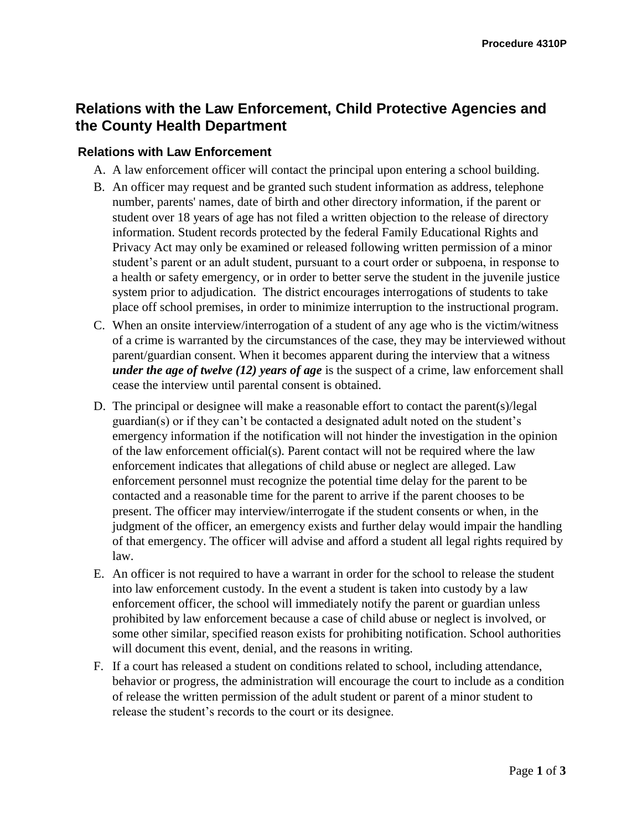## **Relations with the Law Enforcement, Child Protective Agencies and the County Health Department**

## **Relations with Law Enforcement**

- A. A law enforcement officer will contact the principal upon entering a school building.
- B. An officer may request and be granted such student information as address, telephone number, parents' names, date of birth and other directory information, if the parent or student over 18 years of age has not filed a written objection to the release of directory information. Student records protected by the federal Family Educational Rights and Privacy Act may only be examined or released following written permission of a minor student's parent or an adult student, pursuant to a court order or subpoena, in response to a health or safety emergency, or in order to better serve the student in the juvenile justice system prior to adjudication. The district encourages interrogations of students to take place off school premises, in order to minimize interruption to the instructional program.
- C. When an onsite interview/interrogation of a student of any age who is the victim/witness of a crime is warranted by the circumstances of the case, they may be interviewed without parent/guardian consent. When it becomes apparent during the interview that a witness *under the age of twelve (12) years of age* is the suspect of a crime, law enforcement shall cease the interview until parental consent is obtained.
- D. The principal or designee will make a reasonable effort to contact the parent(s)/legal guardian(s) or if they can't be contacted a designated adult noted on the student's emergency information if the notification will not hinder the investigation in the opinion of the law enforcement official(s). Parent contact will not be required where the law enforcement indicates that allegations of child abuse or neglect are alleged. Law enforcement personnel must recognize the potential time delay for the parent to be contacted and a reasonable time for the parent to arrive if the parent chooses to be present. The officer may interview/interrogate if the student consents or when, in the judgment of the officer, an emergency exists and further delay would impair the handling of that emergency. The officer will advise and afford a student all legal rights required by law.
- E. An officer is not required to have a warrant in order for the school to release the student into law enforcement custody. In the event a student is taken into custody by a law enforcement officer, the school will immediately notify the parent or guardian unless prohibited by law enforcement because a case of child abuse or neglect is involved, or some other similar, specified reason exists for prohibiting notification. School authorities will document this event, denial, and the reasons in writing.
- F. If a court has released a student on conditions related to school, including attendance, behavior or progress, the administration will encourage the court to include as a condition of release the written permission of the adult student or parent of a minor student to release the student's records to the court or its designee.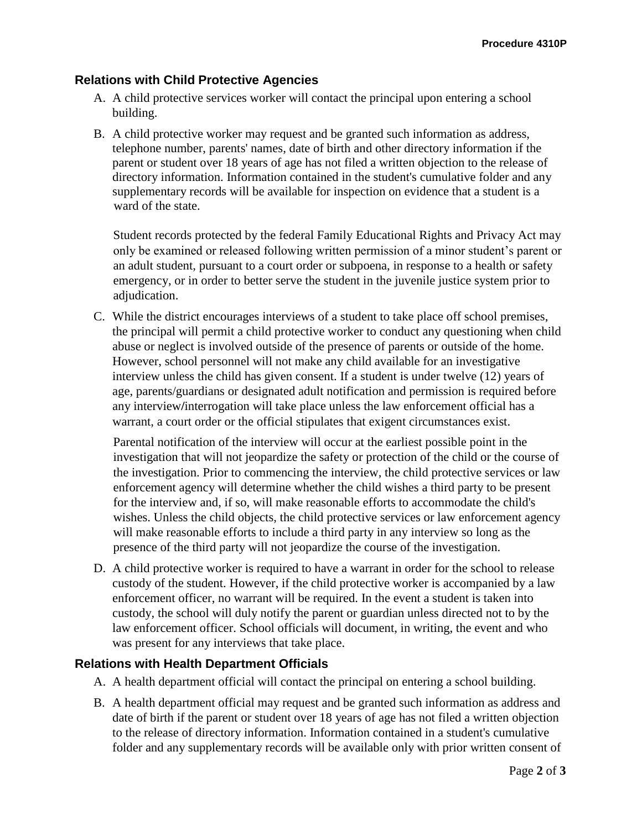## **Relations with Child Protective Agencies**

- A. A child protective services worker will contact the principal upon entering a school building.
- B. A child protective worker may request and be granted such information as address, telephone number, parents' names, date of birth and other directory information if the parent or student over 18 years of age has not filed a written objection to the release of directory information. Information contained in the student's cumulative folder and any supplementary records will be available for inspection on evidence that a student is a ward of the state.

Student records protected by the federal Family Educational Rights and Privacy Act may only be examined or released following written permission of a minor student's parent or an adult student, pursuant to a court order or subpoena, in response to a health or safety emergency, or in order to better serve the student in the juvenile justice system prior to adjudication.

C. While the district encourages interviews of a student to take place off school premises, the principal will permit a child protective worker to conduct any questioning when child abuse or neglect is involved outside of the presence of parents or outside of the home. However, school personnel will not make any child available for an investigative interview unless the child has given consent. If a student is under twelve (12) years of age, parents/guardians or designated adult notification and permission is required before any interview**/**interrogation will take place unless the law enforcement official has a warrant, a court order or the official stipulates that exigent circumstances exist.

Parental notification of the interview will occur at the earliest possible point in the investigation that will not jeopardize the safety or protection of the child or the course of the investigation. Prior to commencing the interview, the child protective services or law enforcement agency will determine whether the child wishes a third party to be present for the interview and, if so, will make reasonable efforts to accommodate the child's wishes. Unless the child objects, the child protective services or law enforcement agency will make reasonable efforts to include a third party in any interview so long as the presence of the third party will not jeopardize the course of the investigation.

D. A child protective worker is required to have a warrant in order for the school to release custody of the student. However, if the child protective worker is accompanied by a law enforcement officer, no warrant will be required. In the event a student is taken into custody, the school will duly notify the parent or guardian unless directed not to by the law enforcement officer. School officials will document, in writing, the event and who was present for any interviews that take place.

## **Relations with Health Department Officials**

- A. A health department official will contact the principal on entering a school building.
- B. A health department official may request and be granted such information as address and date of birth if the parent or student over 18 years of age has not filed a written objection to the release of directory information. Information contained in a student's cumulative folder and any supplementary records will be available only with prior written consent of